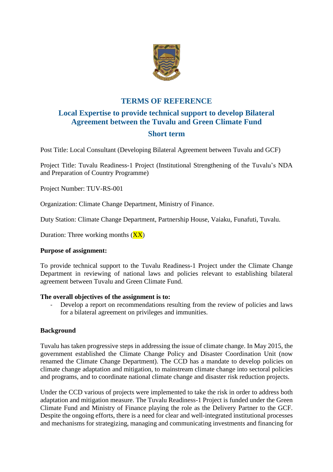

# **TERMS OF REFERENCE**

# **Local Expertise to provide technical support to develop Bilateral Agreement between the Tuvalu and Green Climate Fund**

# **Short term**

Post Title: Local Consultant (Developing Bilateral Agreement between Tuvalu and GCF)

Project Title: Tuvalu Readiness-1 Project (Institutional Strengthening of the Tuvalu's NDA and Preparation of Country Programme)

Project Number: TUV-RS-001

Organization: Climate Change Department, Ministry of Finance.

Duty Station: Climate Change Department, Partnership House, Vaiaku, Funafuti, Tuvalu.

Duration: Three working months  $(XX)$ 

### **Purpose of assignment:**

To provide technical support to the Tuvalu Readiness-1 Project under the Climate Change Department in reviewing of national laws and policies relevant to establishing bilateral agreement between Tuvalu and Green Climate Fund.

### **The overall objectives of the assignment is to:**

Develop a report on recommendations resulting from the review of policies and laws for a bilateral agreement on privileges and immunities.

## **Background**

Tuvalu has taken progressive steps in addressing the issue of climate change. In May 2015, the government established the Climate Change Policy and Disaster Coordination Unit (now renamed the Climate Change Department). The CCD has a mandate to develop policies on climate change adaptation and mitigation, to mainstream climate change into sectoral policies and programs, and to coordinate national climate change and disaster risk reduction projects.

Under the CCD various of projects were implemented to take the risk in order to address both adaptation and mitigation measure. The Tuvalu Readiness-1 Project is funded under the Green Climate Fund and Ministry of Finance playing the role as the Delivery Partner to the GCF. Despite the ongoing efforts, there is a need for clear and well-integrated institutional processes and mechanisms for strategizing, managing and communicating investments and financing for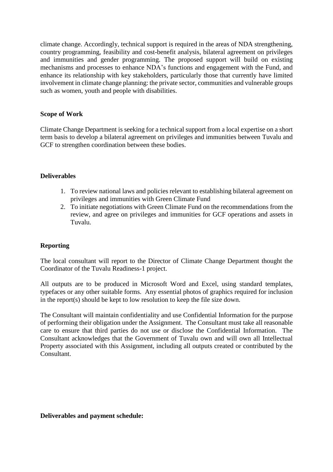climate change. Accordingly, technical support is required in the areas of NDA strengthening, country programming, feasibility and cost-benefit analysis, bilateral agreement on privileges and immunities and gender programming. The proposed support will build on existing mechanisms and processes to enhance NDA's functions and engagement with the Fund, and enhance its relationship with key stakeholders, particularly those that currently have limited involvement in climate change planning: the private sector, communities and vulnerable groups such as women, youth and people with disabilities.

## **Scope of Work**

Climate Change Department is seeking for a technical support from a local expertise on a short term basis to develop a bilateral agreement on privileges and immunities between Tuvalu and GCF to strengthen coordination between these bodies.

### **Deliverables**

- 1. To review national laws and policies relevant to establishing bilateral agreement on privileges and immunities with Green Climate Fund
- 2. To initiate negotiations with Green Climate Fund on the recommendations from the review, and agree on privileges and immunities for GCF operations and assets in Tuvalu.

## **Reporting**

The local consultant will report to the Director of Climate Change Department thought the Coordinator of the Tuvalu Readiness-1 project.

All outputs are to be produced in Microsoft Word and Excel, using standard templates, typefaces or any other suitable forms. Any essential photos of graphics required for inclusion in the report(s) should be kept to low resolution to keep the file size down.

The Consultant will maintain confidentiality and use Confidential Information for the purpose of performing their obligation under the Assignment. The Consultant must take all reasonable care to ensure that third parties do not use or disclose the Confidential Information. The Consultant acknowledges that the Government of Tuvalu own and will own all Intellectual Property associated with this Assignment, including all outputs created or contributed by the Consultant.

### **Deliverables and payment schedule:**